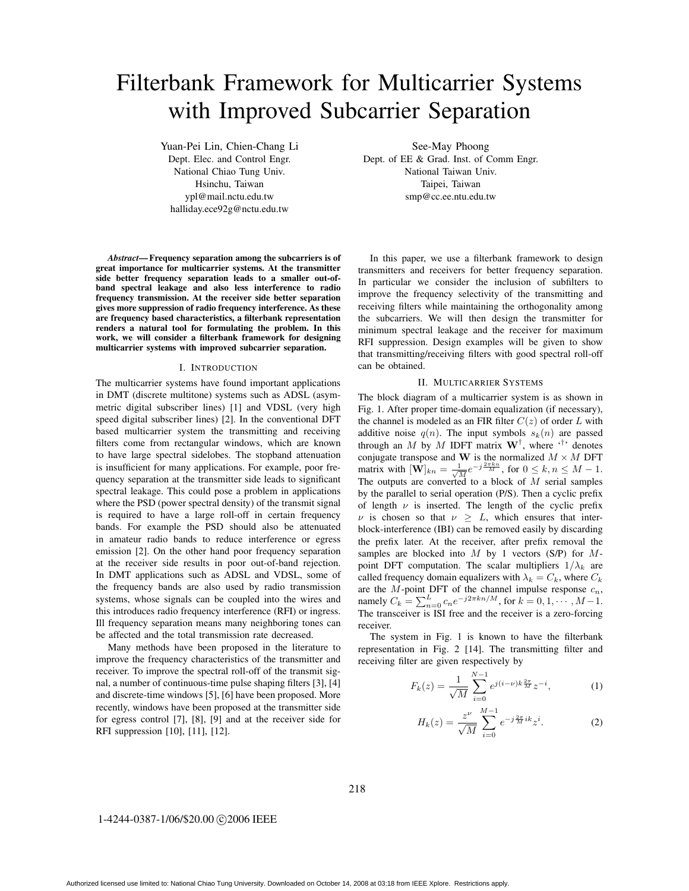# Filterbank Framework for Multicarrier Systems with Improved Subcarrier Separation

Yuan-Pei Lin, Chien-Chang Li Dept. Elec. and Control Engr. National Chiao Tung Univ. Hsinchu, Taiwan ypl@mail.nctu.edu.tw halliday.ece92g@nctu.edu.tw

*Abstract***— Frequency separation among the subcarriers is of great importance for multicarrier systems. At the transmitter side better frequency separation leads to a smaller out-ofband spectral leakage and also less interference to radio frequency transmission. At the receiver side better separation gives more suppression of radio frequency interference. As these are frequency based characteristics, a filterbank representation renders a natural tool for formulating the problem. In this work, we will consider a filterbank framework for designing multicarrier systems with improved subcarrier separation.**

#### I. INTRODUCTION

The multicarrier systems have found important applications in DMT (discrete multitone) systems such as ADSL (asymmetric digital subscriber lines) [1] and VDSL (very high speed digital subscriber lines) [2]. In the conventional DFT based multicarrier system the transmitting and receiving filters come from rectangular windows, which are known to have large spectral sidelobes. The stopband attenuation is insufficient for many applications. For example, poor frequency separation at the transmitter side leads to significant spectral leakage. This could pose a problem in applications where the PSD (power spectral density) of the transmit signal is required to have a large roll-off in certain frequency bands. For example the PSD should also be attenuated in amateur radio bands to reduce interference or egress emission [2]. On the other hand poor frequency separation at the receiver side results in poor out-of-band rejection. In DMT applications such as ADSL and VDSL, some of the frequency bands are also used by radio transmission systems, whose signals can be coupled into the wires and this introduces radio frequency interference (RFI) or ingress. Ill frequency separation means many neighboring tones can be affected and the total transmission rate decreased.

Many methods have been proposed in the literature to improve the frequency characteristics of the transmitter and receiver. To improve the spectral roll-off of the transmit signal, a number of continuous-time pulse shaping filters [3], [4] and discrete-time windows [5], [6] have been proposed. More recently, windows have been proposed at the transmitter side for egress control [7], [8], [9] and at the receiver side for RFI suppression [10], [11], [12].

See-May Phoong Dept. of EE & Grad. Inst. of Comm Engr. National Taiwan Univ. Taipei, Taiwan smp@cc.ee.ntu.edu.tw

In this paper, we use a filterbank framework to design transmitters and receivers for better frequency separation. In particular we consider the inclusion of subfilters to improve the frequency selectivity of the transmitting and receiving filters while maintaining the orthogonality among the subcarriers. We will then design the transmitter for minimum spectral leakage and the receiver for maximum RFI suppression. Design examples will be given to show that transmitting/receiving filters with good spectral roll-off can be obtained.

#### II. MULTICARRIER SYSTEMS

The block diagram of a multicarrier system is as shown in Fig. 1. After proper time-domain equalization (if necessary), the channel is modeled as an FIR filter  $C(z)$  of order L with additive noise  $q(n)$ . The input symbols  $s_k(n)$  are passed through an M by M IDFT matrix  $W^{\dagger}$ , where '<sup>†</sup>' denotes conjugate transpose and **W** is the normalized  $M \times M$  DFT matrix with  $[\mathbf{W}]_{kn} = \frac{1}{\sqrt{M}} e^{-j\frac{2\pi kn}{M}}$ , for  $0 \le k, n \le M - 1$ . The outputs are converted to a block of  $M$  serial samples by the parallel to serial operation (P/S). Then a cyclic prefix of length  $\nu$  is inserted. The length of the cyclic prefix  $\nu$  is chosen so that  $\nu \geq L$ , which ensures that interblock-interference (IBI) can be removed easily by discarding the prefix later. At the receiver, after prefix removal the samples are blocked into  $M$  by 1 vectors (S/P) for  $M$ point DFT computation. The scalar multipliers  $1/\lambda_k$  are called frequency domain equalizers with  $\lambda_k = C_k$ , where  $C_k$ are the  $M$ -point DFT of the channel impulse response  $c_n$ , namely  $C_k = \sum_{n=0}^{L} c_n e^{-j2\pi k n/M}$ , for  $k = 0, 1, \dots, M-1$ . The transceiver is ISI free and the receiver is a zero-forcing receiver.

The system in Fig. 1 is known to have the filterbank representation in Fig. 2 [14]. The transmitting filter and receiving filter are given respectively by

$$
F_k(z) = \frac{1}{\sqrt{M}} \sum_{i=0}^{N-1} e^{j(i-\nu)k\frac{2\pi}{M}} z^{-i},
$$
 (1)

$$
H_k(z) = \frac{z^{\nu}}{\sqrt{M}} \sum_{i=0}^{M-1} e^{-j\frac{2\pi}{M}ik} z^i.
$$
 (2)

218

#### 1-4244-0387-1/06/\$20.00 © 2006 IEEE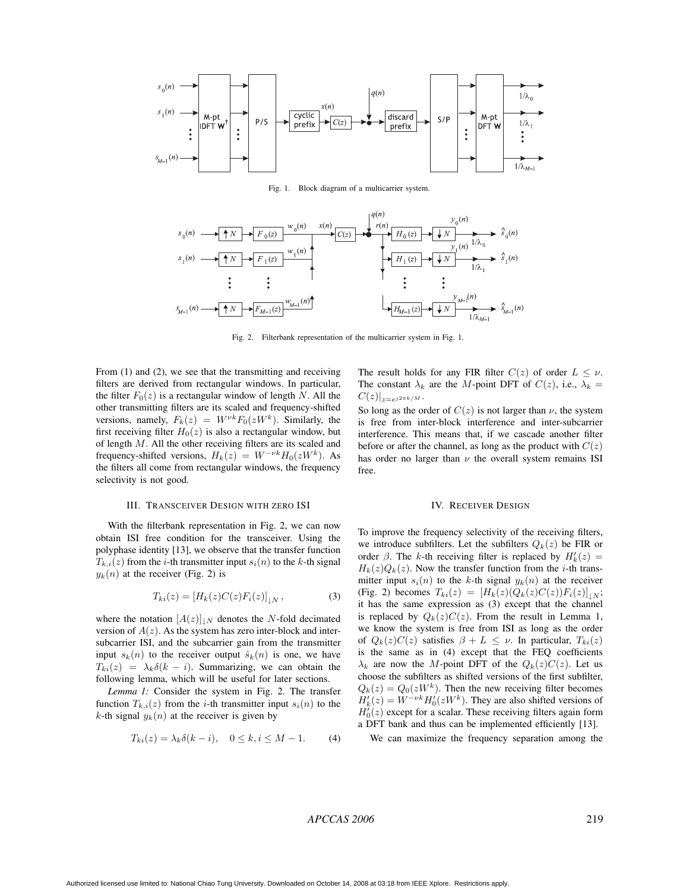

Fig. 1. Block diagram of a multicarrier system.



Fig. 2. Filterbank representation of the multicarrier system in Fig. 1.

From (1) and (2), we see that the transmitting and receiving filters are derived from rectangular windows. In particular, the filter  $F_0(z)$  is a rectangular window of length N. All the other transmitting filters are its scaled and frequency-shifted versions, namely,  $F_k(z) = W^{\nu k} F_0(zW^k)$ . Similarly, the first receiving filter  $H_0(z)$  is also a rectangular window, but of length M. All the other receiving filters are its scaled and frequency-shifted versions,  $H_k(z) = W^{-\nu k} H_0(zW^k)$ . As the filters all come from rectangular windows, the frequency selectivity is not good.

## III. TRANSCEIVER DESIGN WITH ZERO ISI

With the filterbank representation in Fig. 2, we can now obtain ISI free condition for the transceiver. Using the polyphase identity [13], we observe that the transfer function  $T_{k,i}(z)$  from the *i*-th transmitter input  $s_i(n)$  to the *k*-th signal  $y_k(n)$  at the receiver (Fig. 2) is

$$
T_{ki}(z) = \left[ H_k(z)C(z)F_i(z) \right]_{\downarrow N},\tag{3}
$$

where the notation  $[A(z)]_{\downarrow N}$  denotes the N-fold decimated version of  $A(z)$ . As the system has zero inter-block and intersubcarrier ISI, and the subcarrier gain from the transmitter input  $s_k(n)$  to the receiver output  $\hat{s}_k(n)$  is one, we have  $T_{ki}(z) = \lambda_k \delta(k - i)$ . Summarizing, we can obtain the following lemma, which will be useful for later sections.

*Lemma 1:* Consider the system in Fig. 2. The transfer function  $T_{k,i}(z)$  from the *i*-th transmitter input  $s_i(n)$  to the k-th signal  $y_k(n)$  at the receiver is given by

$$
T_{ki}(z) = \lambda_k \delta(k - i), \quad 0 \le k, i \le M - 1. \tag{4}
$$

The result holds for any FIR filter  $C(z)$  of order  $L \leq \nu$ . The constant  $\lambda_k$  are the M-point DFT of  $C(z)$ , i.e.,  $\lambda_k =$  $C(z)|_{z=e^{j2\pi k/M}}$ .

So long as the order of  $C(z)$  is not larger than  $\nu$ , the system is free from inter-block interference and inter-subcarrier interference. This means that, if we cascade another filter before or after the channel, as long as the product with  $C(z)$ has order no larger than  $\nu$  the overall system remains ISI free.

#### IV. RECEIVER DESIGN

To improve the frequency selectivity of the receiving filters, we introduce subfilters. Let the subfilters  $Q_k(z)$  be FIR or order  $\beta$ . The k-th receiving filter is replaced by  $H'_k(z) =$  $H_k(z)Q_k(z)$ . Now the transfer function from the *i*-th transmitter input  $s_i(n)$  to the k-th signal  $y_k(n)$  at the receiver (Fig. 2) becomes  $T_{ki}(z)=[H_k(z)(Q_k(z)C(z))F_i(z)]_{|N}$ ; it has the same expression as (3) except that the channel is replaced by  $Q_k(z)C(z)$ . From the result in Lemma 1, we know the system is free from ISI as long as the order of  $Q_k(z)C(z)$  satisfies  $\beta + L \leq \nu$ . In particular,  $T_{ki}(z)$ is the same as in (4) except that the FEQ coefficients  $\lambda_k$  are now the M-point DFT of the  $Q_k(z)C(z)$ . Let us choose the subfilters as shifted versions of the first subfilter,  $Q_k(z) = Q_0(zW^k)$ . Then the new receiving filter becomes  $H'_{k}(z) = W^{-\nu k} H'_{0}(zW^{k})$ . They are also shifted versions of  $H_0(z)$  except for a scalar. These receiving filters again form a DFT bank and thus can be implemented efficiently [13].

We can maximize the frequency separation among the

## *APCCAS 2006* 219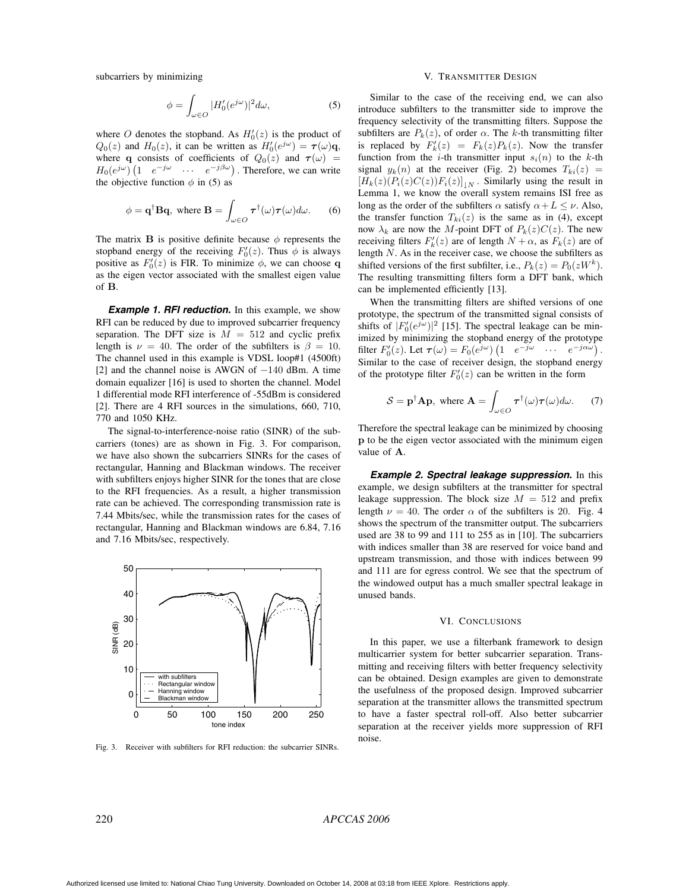subcarriers by minimizing

$$
\phi = \int_{\omega \in O} |H'_0(e^{j\omega})|^2 d\omega,\tag{5}
$$

where O denotes the stopband. As  $H'_0(z)$  is the product of  $Q_0(z)$  and  $H_0(z)$ , it can be written as  $H'_0(e^{j\omega}) = \tau(\omega)\mathbf{q}$ , where **q** consists of coefficients of  $Q_0(z)$  and  $\tau(\omega)$  =  $H_0(e^{j\omega})$   $\left(1 \quad e^{-j\omega} \quad \cdots \quad e^{-j\beta\omega}\right)$ . Therefore, we can write the objective function  $\phi$  in (5) as

$$
\phi = \mathbf{q}^{\dagger} \mathbf{B} \mathbf{q}, \text{ where } \mathbf{B} = \int_{\omega \in O} \boldsymbol{\tau}^{\dagger}(\omega) \boldsymbol{\tau}(\omega) d\omega. \qquad (6)
$$

The matrix **B** is positive definite because  $\phi$  represents the stopband energy of the receiving  $F_0'(z)$ . Thus  $\phi$  is always positive as  $F'_0(z)$  is FIR. To minimize  $\phi$ , we can choose **q** as the eigen vector associated with the smallest eigen value of **B**.

**Example 1. RFI reduction.** In this example, we show RFI can be reduced by due to improved subcarrier frequency separation. The DFT size is  $M = 512$  and cyclic prefix length is  $\nu = 40$ . The order of the subfilters is  $\beta = 10$ . The channel used in this example is VDSL loop#1 (4500ft) [2] and the channel noise is AWGN of −140 dBm. A time domain equalizer [16] is used to shorten the channel. Model 1 differential mode RFI interference of -55dBm is considered [2]. There are 4 RFI sources in the simulations, 660, 710, 770 and 1050 KHz.

The signal-to-interference-noise ratio (SINR) of the subcarriers (tones) are as shown in Fig. 3. For comparison, we have also shown the subcarriers SINRs for the cases of rectangular, Hanning and Blackman windows. The receiver with subfilters enjoys higher SINR for the tones that are close to the RFI frequencies. As a result, a higher transmission rate can be achieved. The corresponding transmission rate is 7.44 Mbits/sec, while the transmission rates for the cases of rectangular, Hanning and Blackman windows are 6.84, 7.16 and 7.16 Mbits/sec, respectively.



Fig. 3. Receiver with subfilters for RFI reduction: the subcarrier SINRs.

## V. TRANSMITTER DESIGN

Similar to the case of the receiving end, we can also introduce subfilters to the transmitter side to improve the frequency selectivity of the transmitting filters. Suppose the subfilters are  $P_k(z)$ , of order  $\alpha$ . The k-th transmitting filter is replaced by  $F'_k(z) = F_k(z)P_k(z)$ . Now the transfer function from the *i*-th transmitter input  $s_i(n)$  to the *k*-th signal  $y_k(n)$  at the receiver (Fig. 2) becomes  $T_{ki}(z)$  =  $[H_k(z)(P_i(z)C(z))F_i(z)]_{|N}$ . Similarly using the result in Lemma 1, we know the overall system remains ISI free as long as the order of the subfilters  $\alpha$  satisfy  $\alpha + L \leq \nu$ . Also, the transfer function  $T_{ki}(z)$  is the same as in (4), except now  $\lambda_k$  are now the M-point DFT of  $P_k(z)C(z)$ . The new receiving filters  $F'_k(z)$  are of length  $N + \alpha$ , as  $F_k(z)$  are of length N. As in the receiver case, we choose the subfilters as shifted versions of the first subfilter, i.e.,  $P_k(z) = P_0(zW^k)$ . The resulting transmitting filters form a DFT bank, which can be implemented efficiently [13].

When the transmitting filters are shifted versions of one prototype, the spectrum of the transmitted signal consists of shifts of  $|F_0'(e^{j\omega})|^2$  [15]. The spectral leakage can be minimized by minimizing the stopband energy of the prototype filter  $F'_0(z)$ . Let  $\boldsymbol{\tau}(\omega) = F_0(e^{j\omega}) \begin{pmatrix} 1 & e^{-j\omega} & \cdots & e^{-j\alpha\omega} \end{pmatrix}$ . Similar to the case of receiver design, the stopband energy of the prototype filter  $F_0'(z)$  can be written in the form

$$
S = \mathbf{p}^{\dagger} \mathbf{A} \mathbf{p}, \text{ where } \mathbf{A} = \int_{\omega \in O} \boldsymbol{\tau}^{\dagger}(\omega) \boldsymbol{\tau}(\omega) d\omega. \tag{7}
$$

Therefore the spectral leakage can be minimized by choosing **p** to be the eigen vector associated with the minimum eigen value of **A**.

**Example 2. Spectral leakage suppression.** In this example, we design subfilters at the transmitter for spectral leakage suppression. The block size  $M = 512$  and prefix length  $\nu = 40$ . The order  $\alpha$  of the subfilters is 20. Fig. 4 shows the spectrum of the transmitter output. The subcarriers used are 38 to 99 and 111 to 255 as in [10]. The subcarriers with indices smaller than 38 are reserved for voice band and upstream transmission, and those with indices between 99 and 111 are for egress control. We see that the spectrum of the windowed output has a much smaller spectral leakage in unused bands.

#### VI. CONCLUSIONS

In this paper, we use a filterbank framework to design multicarrier system for better subcarrier separation. Transmitting and receiving filters with better frequency selectivity can be obtained. Design examples are given to demonstrate the usefulness of the proposed design. Improved subcarrier separation at the transmitter allows the transmitted spectrum to have a faster spectral roll-off. Also better subcarrier separation at the receiver yields more suppression of RFI noise.

## 220 *APCCAS 2006*